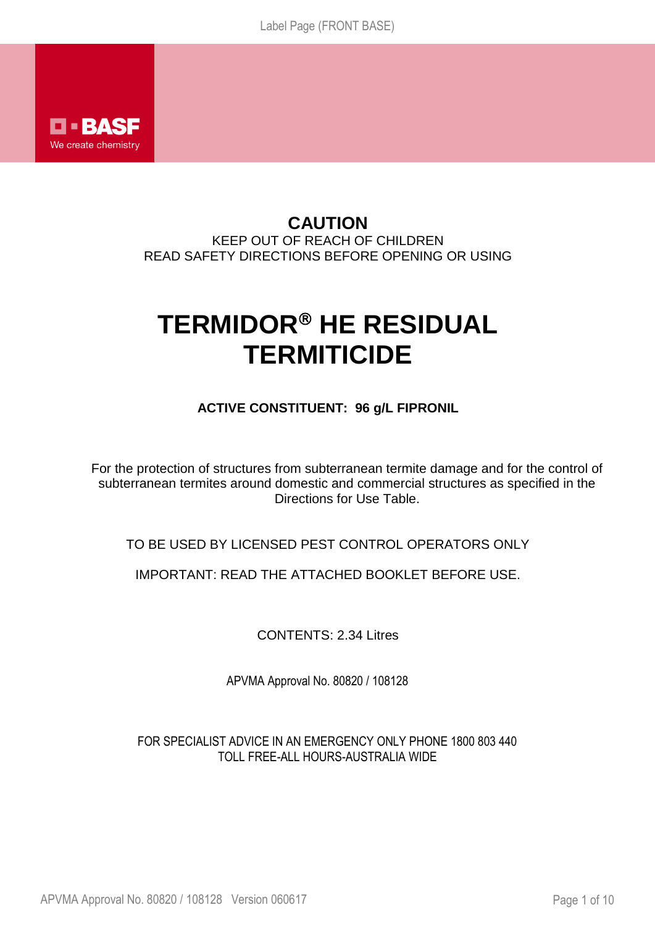

# **CAUTION** KEEP OUT OF REACH OF CHILDREN READ SAFETY DIRECTIONS BEFORE OPENING OR USING

# **TERMIDOR<sup>®</sup> HE RESIDUAL TERMITICIDE**

# **ACTIVE CONSTITUENT: 96 g/L FIPRONIL**

For the protection of structures from subterranean termite damage and for the control of subterranean termites around domestic and commercial structures as specified in the Directions for Use Table.

TO BE USED BY LICENSED PEST CONTROL OPERATORS ONLY

IMPORTANT: READ THE ATTACHED BOOKLET BEFORE USE.

CONTENTS: 2.34 Litres

APVMA Approval No. 80820 / 108128

FOR SPECIALIST ADVICE IN AN EMERGENCY ONLY PHONE 1800 803 440 TOLL FREE-ALL HOURS-AUSTRALIA WIDE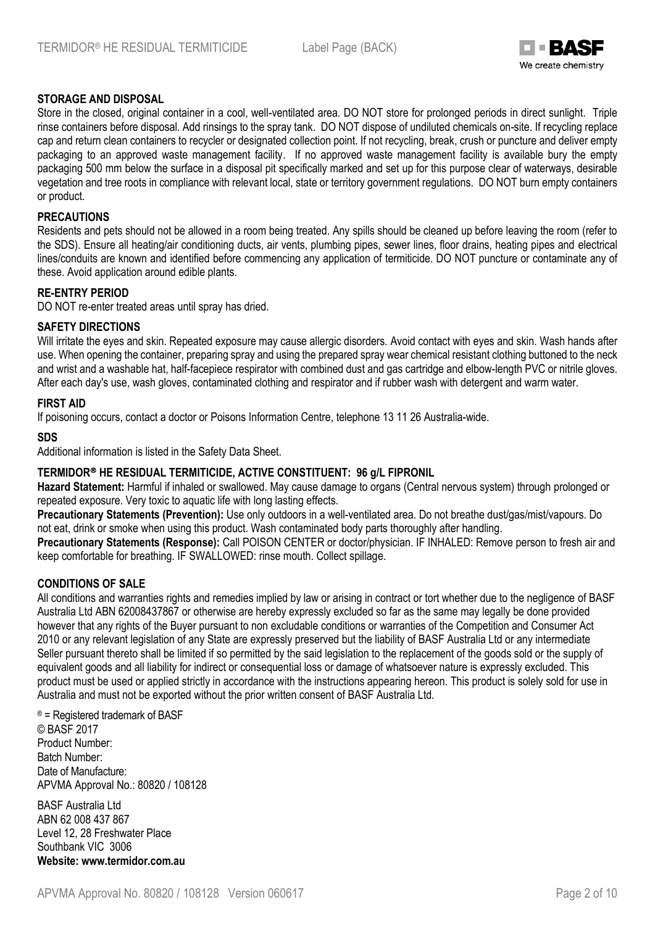

#### **STORAGE AND DISPOSAL**

Store in the closed, original container in a cool, well-ventilated area. DO NOT store for prolonged periods in direct sunlight. Triple rinse containers before disposal. Add rinsings to the spray tank. DO NOT dispose of undiluted chemicals on-site. If recycling replace cap and return clean containers to recycler or designated collection point. If not recycling, break, crush or puncture and deliver empty packaging to an approved waste management facility. If no approved waste management facility is available bury the empty packaging 500 mm below the surface in a disposal pit specifically marked and set up for this purpose clear of waterways, desirable vegetation and tree roots in compliance with relevant local, state or territory government regulations. DO NOT burn empty containers or product.

#### **PRECAUTIONS**

Residents and pets should not be allowed in a room being treated. Any spills should be cleaned up before leaving the room (refer to the SDS). Ensure all heating/air conditioning ducts, air vents, plumbing pipes, sewer lines, floor drains, heating pipes and electrical lines/conduits are known and identified before commencing any application of termiticide. DO NOT puncture or contaminate any of these. Avoid application around edible plants.

#### **RE-ENTRY PERIOD**

DO NOT re-enter treated areas until spray has dried.

#### **SAFETY DIRECTIONS**

Will irritate the eyes and skin. Repeated exposure may cause allergic disorders. Avoid contact with eyes and skin. Wash hands after use. When opening the container, preparing spray and using the prepared spray wear chemical resistant clothing buttoned to the neck and wrist and a washable hat, half-facepiece respirator with combined dust and gas cartridge and elbow-length PVC or nitrile gloves. After each day's use, wash gloves, contaminated clothing and respirator and if rubber wash with detergent and warm water.

#### **FIRST AID**

If poisoning occurs, contact a doctor or Poisons Information Centre, telephone 13 11 26 Australia-wide.

#### **SDS**

Additional information is listed in the Safety Data Sheet.

#### **TERMIDOR HE RESIDUAL TERMITICIDE, ACTIVE CONSTITUENT: 96 g/L FIPRONIL**

**Hazard Statement:** Harmful if inhaled or swallowed. May cause damage to organs (Central nervous system) through prolonged or repeated exposure. Very toxic to aquatic life with long lasting effects.

**Precautionary Statements (Prevention):** Use only outdoors in a well-ventilated area. Do not breathe dust/gas/mist/vapours. Do not eat, drink or smoke when using this product. Wash contaminated body parts thoroughly after handling.

**Precautionary Statements (Response):** Call POISON CENTER or doctor/physician. IF INHALED: Remove person to fresh air and keep comfortable for breathing. IF SWALLOWED: rinse mouth. Collect spillage.

#### **CONDITIONS OF SALE**

All conditions and warranties rights and remedies implied by law or arising in contract or tort whether due to the negligence of BASF Australia Ltd ABN 62008437867 or otherwise are hereby expressly excluded so far as the same may legally be done provided however that any rights of the Buyer pursuant to non excludable conditions or warranties of the Competition and Consumer Act 2010 or any relevant legislation of any State are expressly preserved but the liability of BASF Australia Ltd or any intermediate Seller pursuant thereto shall be limited if so permitted by the said legislation to the replacement of the goods sold or the supply of equivalent goods and all liability for indirect or consequential loss or damage of whatsoever nature is expressly excluded. This product must be used or applied strictly in accordance with the instructions appearing hereon. This product is solely sold for use in Australia and must not be exported without the prior written consent of BASF Australia Ltd.

® = Registered trademark of BASF © BASF 2017 Product Number: Batch Number: Date of Manufacture: APVMA Approval No.: 80820 / 108128

BASF Australia Ltd ABN 62 008 437 867 Level 12, 28 Freshwater Place Southbank VIC 3006 **Website: www.termidor.com.au**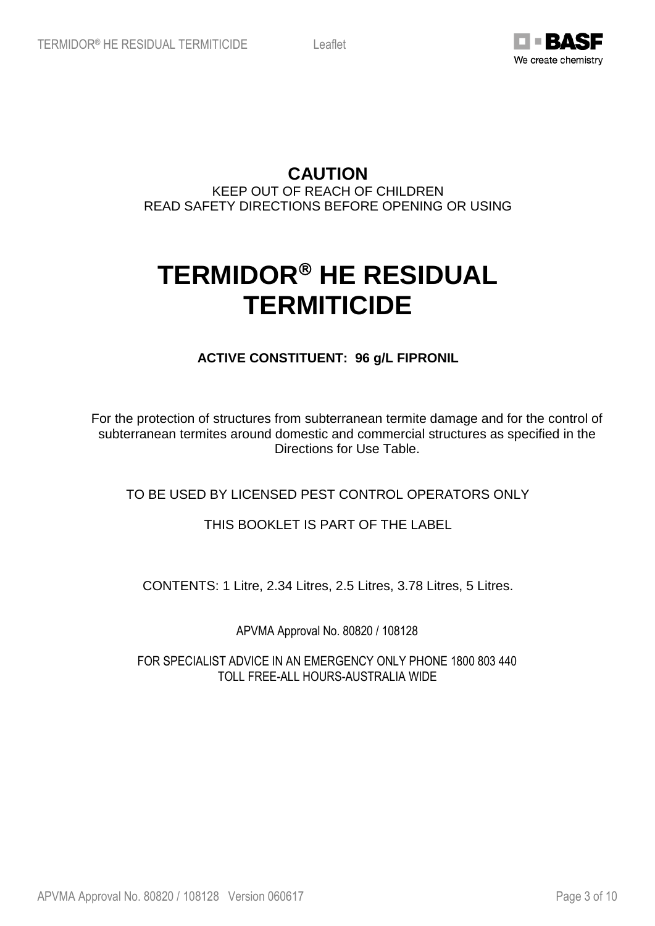

**CAUTION**

KEEP OUT OF REACH OF CHILDREN READ SAFETY DIRECTIONS BEFORE OPENING OR USING

# **TERMIDOR HE RESIDUAL TERMITICIDE**

**ACTIVE CONSTITUENT: 96 g/L FIPRONIL**

For the protection of structures from subterranean termite damage and for the control of subterranean termites around domestic and commercial structures as specified in the Directions for Use Table.

# TO BE USED BY LICENSED PEST CONTROL OPERATORS ONLY

# THIS BOOKLET IS PART OF THE LABEL

CONTENTS: 1 Litre, 2.34 Litres, 2.5 Litres, 3.78 Litres, 5 Litres.

APVMA Approval No. 80820 / 108128

FOR SPECIALIST ADVICE IN AN EMERGENCY ONLY PHONE 1800 803 440 TOLL FREE-ALL HOURS-AUSTRALIA WIDE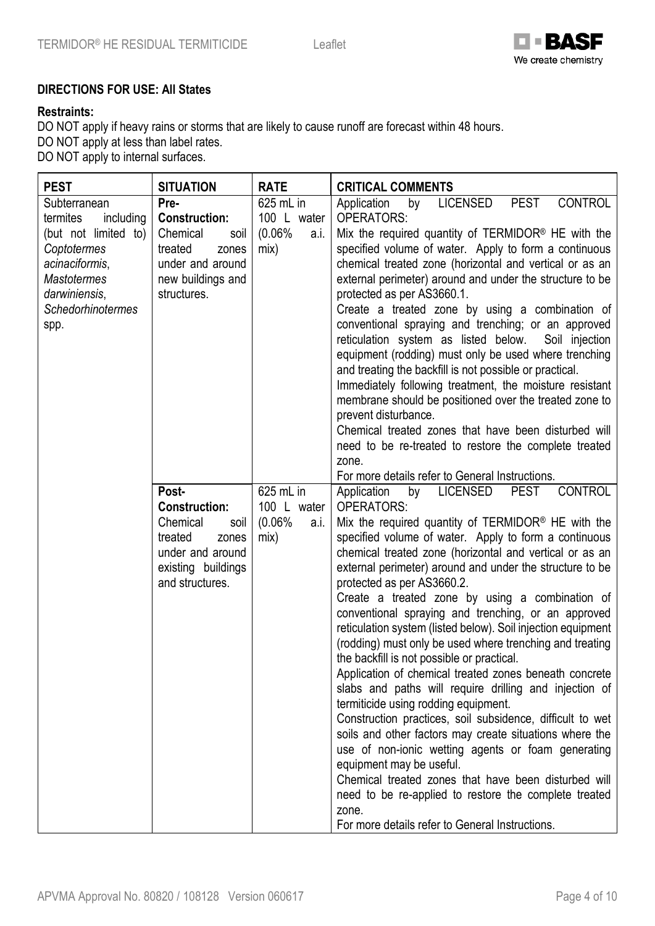

# **DIRECTIONS FOR USE: All States**

#### **Restraints:**

DO NOT apply if heavy rains or storms that are likely to cause runoff are forecast within 48 hours. DO NOT apply at less than label rates.

DO NOT apply to internal surfaces.

| <b>PEST</b>                                                                                                                                                                 | <b>SITUATION</b>                                                                                                                   | <b>RATE</b>                                        | <b>CRITICAL COMMENTS</b>                                                                                                                                                                                                                                                                                                                                                                                                                                                                                                                                                                                                                                                                                                                                                                                                                                                                                                                                                                                                                                                                                                                                                                                                                                             |
|-----------------------------------------------------------------------------------------------------------------------------------------------------------------------------|------------------------------------------------------------------------------------------------------------------------------------|----------------------------------------------------|----------------------------------------------------------------------------------------------------------------------------------------------------------------------------------------------------------------------------------------------------------------------------------------------------------------------------------------------------------------------------------------------------------------------------------------------------------------------------------------------------------------------------------------------------------------------------------------------------------------------------------------------------------------------------------------------------------------------------------------------------------------------------------------------------------------------------------------------------------------------------------------------------------------------------------------------------------------------------------------------------------------------------------------------------------------------------------------------------------------------------------------------------------------------------------------------------------------------------------------------------------------------|
| Subterranean<br>termites<br>including<br>(but not limited to)  <br>Coptotermes<br>acinaciformis,<br><b>Mastotermes</b><br>darwiniensis,<br><b>Schedorhinotermes</b><br>spp. | Pre-<br><b>Construction:</b><br>Chemical<br>soil<br>treated<br>zones<br>under and around<br>new buildings and<br>structures.       | 625 mL in<br>100 L water<br>(0.06%<br>a.i.<br>mix) | <b>PEST</b><br><b>CONTROL</b><br><b>LICENSED</b><br>Application<br>by<br><b>OPERATORS:</b><br>Mix the required quantity of TERMIDOR <sup>®</sup> HE with the<br>specified volume of water. Apply to form a continuous<br>chemical treated zone (horizontal and vertical or as an<br>external perimeter) around and under the structure to be<br>protected as per AS3660.1.<br>Create a treated zone by using a combination of<br>conventional spraying and trenching; or an approved<br>reticulation system as listed below.<br>Soil injection<br>equipment (rodding) must only be used where trenching<br>and treating the backfill is not possible or practical.<br>Immediately following treatment, the moisture resistant<br>membrane should be positioned over the treated zone to<br>prevent disturbance.<br>Chemical treated zones that have been disturbed will<br>need to be re-treated to restore the complete treated<br>zone.                                                                                                                                                                                                                                                                                                                            |
|                                                                                                                                                                             | Post-<br><b>Construction:</b><br>Chemical<br>soil<br>treated<br>zones<br>under and around<br>existing buildings<br>and structures. | 625 mL in<br>100 L water<br>(0.06%<br>a.i.<br>mix) | For more details refer to General Instructions.<br><b>LICENSED</b><br><b>CONTROL</b><br>Application<br><b>PEST</b><br>by<br><b>OPERATORS:</b><br>Mix the required quantity of TERMIDOR <sup>®</sup> HE with the<br>specified volume of water. Apply to form a continuous<br>chemical treated zone (horizontal and vertical or as an<br>external perimeter) around and under the structure to be<br>protected as per AS3660.2.<br>Create a treated zone by using a combination of<br>conventional spraying and trenching, or an approved<br>reticulation system (listed below). Soil injection equipment<br>(rodding) must only be used where trenching and treating<br>the backfill is not possible or practical.<br>Application of chemical treated zones beneath concrete<br>slabs and paths will require drilling and injection of<br>termiticide using rodding equipment.<br>Construction practices, soil subsidence, difficult to wet<br>soils and other factors may create situations where the<br>use of non-ionic wetting agents or foam generating<br>equipment may be useful.<br>Chemical treated zones that have been disturbed will<br>need to be re-applied to restore the complete treated<br>zone.<br>For more details refer to General Instructions. |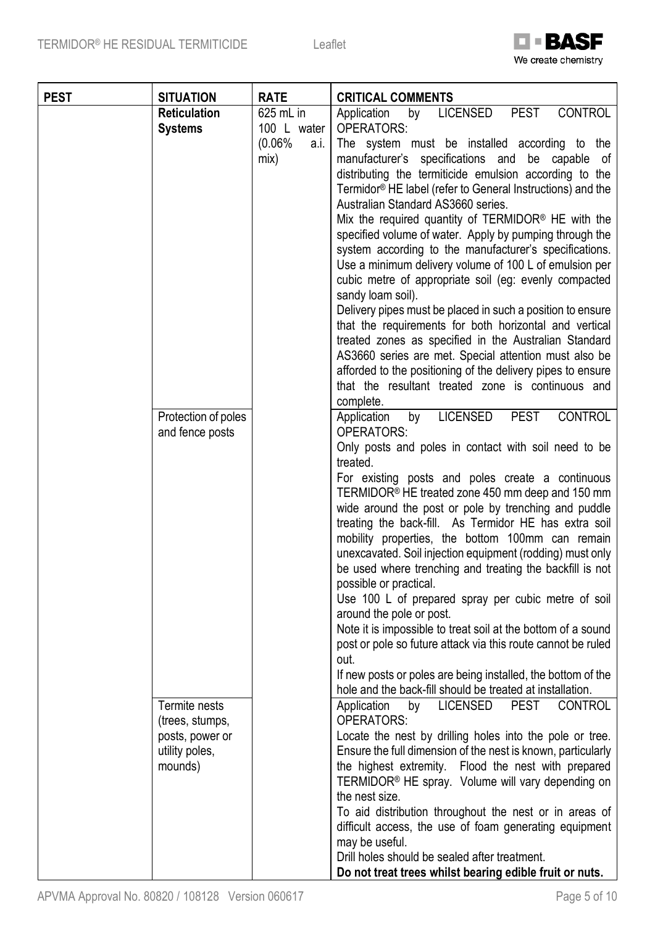

| <b>PEST</b> | <b>SITUATION</b>                                                                 | <b>RATE</b>                                        | <b>CRITICAL COMMENTS</b>                                                                                                                                                                                                                                                                                                                                                                                                                                                                                                                                                                                                                                                                                                                                                                                                                                                                                                                                               |
|-------------|----------------------------------------------------------------------------------|----------------------------------------------------|------------------------------------------------------------------------------------------------------------------------------------------------------------------------------------------------------------------------------------------------------------------------------------------------------------------------------------------------------------------------------------------------------------------------------------------------------------------------------------------------------------------------------------------------------------------------------------------------------------------------------------------------------------------------------------------------------------------------------------------------------------------------------------------------------------------------------------------------------------------------------------------------------------------------------------------------------------------------|
|             | <b>Reticulation</b><br><b>Systems</b>                                            | 625 mL in<br>100 L water<br>(0.06%<br>a.i.<br>mix) | <b>PEST</b><br><b>CONTROL</b><br>Application<br><b>LICENSED</b><br>by<br><b>OPERATORS:</b><br>The system must be installed according to the<br>manufacturer's specifications and be capable of<br>distributing the termiticide emulsion according to the<br>Termidor <sup>®</sup> HE label (refer to General Instructions) and the<br>Australian Standard AS3660 series.<br>Mix the required quantity of TERMIDOR <sup>®</sup> HE with the<br>specified volume of water. Apply by pumping through the<br>system according to the manufacturer's specifications.<br>Use a minimum delivery volume of 100 L of emulsion per<br>cubic metre of appropriate soil (eg: evenly compacted<br>sandy loam soil).<br>Delivery pipes must be placed in such a position to ensure<br>that the requirements for both horizontal and vertical<br>treated zones as specified in the Australian Standard<br>AS3660 series are met. Special attention must also be                      |
|             | Protection of poles<br>and fence posts                                           |                                                    | afforded to the positioning of the delivery pipes to ensure<br>that the resultant treated zone is continuous and<br>complete.<br><b>LICENSED</b><br><b>PEST</b><br><b>CONTROL</b><br>Application<br>by<br><b>OPERATORS:</b><br>Only posts and poles in contact with soil need to be<br>treated.<br>For existing posts and poles create a continuous<br>TERMIDOR <sup>®</sup> HE treated zone 450 mm deep and 150 mm<br>wide around the post or pole by trenching and puddle<br>treating the back-fill. As Termidor HE has extra soil<br>mobility properties, the bottom 100mm can remain<br>unexcavated. Soil injection equipment (rodding) must only<br>be used where trenching and treating the backfill is not<br>possible or practical.<br>Use 100 L of prepared spray per cubic metre of soil<br>around the pole or post.<br>Note it is impossible to treat soil at the bottom of a sound<br>post or pole so future attack via this route cannot be ruled<br>out. |
|             | Termite nests<br>(trees, stumps,<br>posts, power or<br>utility poles,<br>mounds) |                                                    | If new posts or poles are being installed, the bottom of the<br>hole and the back-fill should be treated at installation.<br><b>LICENSED</b><br><b>PEST</b><br><b>CONTROL</b><br>Application<br>by<br><b>OPERATORS:</b><br>Locate the nest by drilling holes into the pole or tree.<br>Ensure the full dimension of the nest is known, particularly<br>the highest extremity. Flood the nest with prepared<br>TERMIDOR <sup>®</sup> HE spray. Volume will vary depending on<br>the nest size.<br>To aid distribution throughout the nest or in areas of<br>difficult access, the use of foam generating equipment<br>may be useful.<br>Drill holes should be sealed after treatment.<br>Do not treat trees whilst bearing edible fruit or nuts.                                                                                                                                                                                                                        |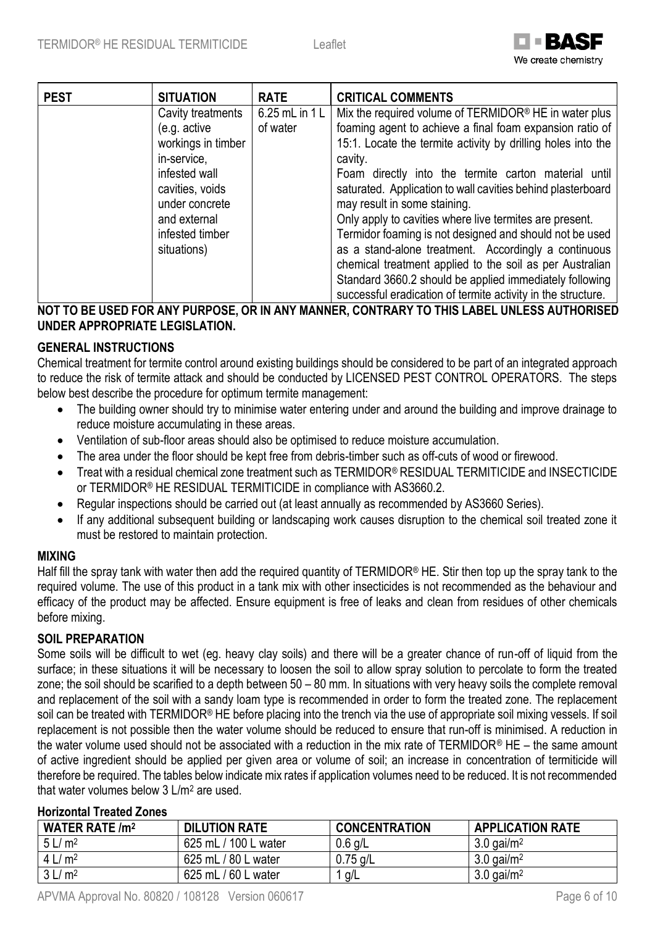

| <b>PEST</b> | <b>SITUATION</b>   | <b>RATE</b>    | <b>CRITICAL COMMENTS</b>                                          |
|-------------|--------------------|----------------|-------------------------------------------------------------------|
|             | Cavity treatments  | 6.25 mL in 1 L | Mix the required volume of TERMIDOR <sup>®</sup> HE in water plus |
|             | (e.g. active       | of water       | foaming agent to achieve a final foam expansion ratio of          |
|             | workings in timber |                | 15:1. Locate the termite activity by drilling holes into the      |
|             | in-service.        |                | cavity.                                                           |
|             | infested wall      |                | Foam directly into the termite carton material until              |
|             | cavities, voids    |                | saturated. Application to wall cavities behind plasterboard       |
|             | under concrete     |                | may result in some staining.                                      |
|             | and external       |                | Only apply to cavities where live termites are present.           |
|             | infested timber    |                | Termidor foaming is not designed and should not be used           |
|             | situations)        |                | as a stand-alone treatment. Accordingly a continuous              |
|             |                    |                | chemical treatment applied to the soil as per Australian          |
|             |                    |                | Standard 3660.2 should be applied immediately following           |
|             |                    |                | successful eradication of termite activity in the structure.      |

# **NOT TO BE USED FOR ANY PURPOSE, OR IN ANY MANNER, CONTRARY TO THIS LABEL UNLESS AUTHORISED UNDER APPROPRIATE LEGISLATION.**

# **GENERAL INSTRUCTIONS**

Chemical treatment for termite control around existing buildings should be considered to be part of an integrated approach to reduce the risk of termite attack and should be conducted by LICENSED PEST CONTROL OPERATORS. The steps below best describe the procedure for optimum termite management:

- The building owner should try to minimise water entering under and around the building and improve drainage to reduce moisture accumulating in these areas.
- Ventilation of sub-floor areas should also be optimised to reduce moisture accumulation.
- The area under the floor should be kept free from debris-timber such as off-cuts of wood or firewood.
- Treat with a residual chemical zone treatment such as TERMIDOR® RESIDUAL TERMITICIDE and INSECTICIDE or TERMIDOR® HE RESIDUAL TERMITICIDE in compliance with AS3660.2.
- Regular inspections should be carried out (at least annually as recommended by AS3660 Series).
- If any additional subsequent building or landscaping work causes disruption to the chemical soil treated zone it must be restored to maintain protection.

## **MIXING**

Half fill the spray tank with water then add the required quantity of TERMIDOR® HE. Stir then top up the spray tank to the required volume. The use of this product in a tank mix with other insecticides is not recommended as the behaviour and efficacy of the product may be affected. Ensure equipment is free of leaks and clean from residues of other chemicals before mixing.

## **SOIL PREPARATION**

Some soils will be difficult to wet (eg. heavy clay soils) and there will be a greater chance of run-off of liquid from the surface; in these situations it will be necessary to loosen the soil to allow spray solution to percolate to form the treated zone; the soil should be scarified to a depth between 50 – 80 mm. In situations with very heavy soils the complete removal and replacement of the soil with a sandy loam type is recommended in order to form the treated zone. The replacement soil can be treated with TERMIDOR® HE before placing into the trench via the use of appropriate soil mixing vessels. If soil replacement is not possible then the water volume should be reduced to ensure that run-off is minimised. A reduction in the water volume used should not be associated with a reduction in the mix rate of TERMIDOR® HE – the same amount of active ingredient should be applied per given area or volume of soil; an increase in concentration of termiticide will therefore be required. The tables below indicate mix rates if application volumes need to be reduced. It is not recommended that water volumes below 3 L/m<sup>2</sup> are used.

## **Horizontal Treated Zones**

| <b>WATER RATE /m<sup>2</sup></b> | <b>DILUTION RATE</b>       | <b>CONCENTRATION</b> | <b>APPLICATION RATE</b>  |
|----------------------------------|----------------------------|----------------------|--------------------------|
| 5 L/m <sup>2</sup>               | 625 mL / 100 L water       | $0.6$ g/L            | $3.0$ gai/m <sup>2</sup> |
| 4 L/m <sup>2</sup>               | 625 mL / 80 L water        | $0.75$ g/L           | $3.0$ gai/m <sup>2</sup> |
| 3 L/m <sup>2</sup>               | ./60 L water<br>625 mL $/$ | g/L                  | $3.0$ gai/m <sup>2</sup> |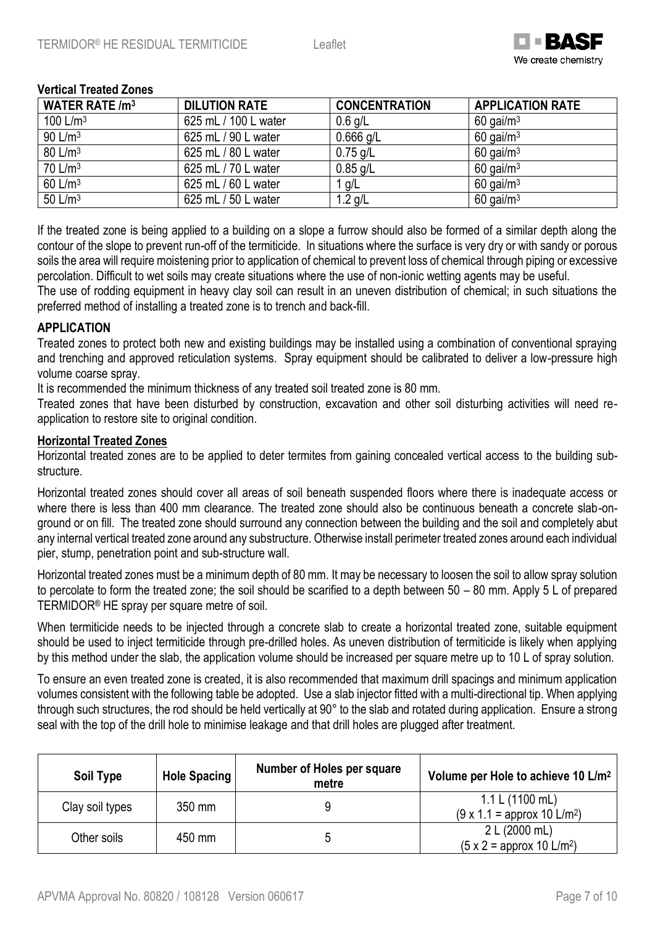

#### **Vertical Treated Zones**

| <b>WATER RATE /m<sup>3</sup></b> | <b>DILUTION RATE</b> | <b>CONCENTRATION</b> | <b>APPLICATION RATE</b> |
|----------------------------------|----------------------|----------------------|-------------------------|
| 100 $L/m3$                       | 625 mL / 100 L water | $0.6$ g/L            | $60$ gai/m <sup>3</sup> |
| 90 L/m <sup>3</sup>              | 625 mL / 90 L water  | $0.666$ g/L          | $60$ gai/m <sup>3</sup> |
| 80 L/m <sup>3</sup>              | 625 mL / 80 L water  | $0.75$ g/L           | $60$ gai/m <sup>3</sup> |
| 70 L/m <sup>3</sup>              | 625 mL / 70 L water  | $0.85$ g/L           | $60$ gai/m <sup>3</sup> |
| 60 L/m <sup>3</sup>              | 625 mL / 60 L water  | 1 g/L                | $60$ gai/m <sup>3</sup> |
| 50 L/m <sup>3</sup>              | 625 mL / 50 L water  | $1.2$ g/L            | $60$ gai/m <sup>3</sup> |

If the treated zone is being applied to a building on a slope a furrow should also be formed of a similar depth along the contour of the slope to prevent run-off of the termiticide. In situations where the surface is very dry or with sandy or porous soils the area will require moistening prior to application of chemical to prevent loss of chemical through piping or excessive percolation. Difficult to wet soils may create situations where the use of non-ionic wetting agents may be useful.

The use of rodding equipment in heavy clay soil can result in an uneven distribution of chemical; in such situations the preferred method of installing a treated zone is to trench and back-fill.

#### **APPLICATION**

Treated zones to protect both new and existing buildings may be installed using a combination of conventional spraying and trenching and approved reticulation systems. Spray equipment should be calibrated to deliver a low-pressure high volume coarse spray.

It is recommended the minimum thickness of any treated soil treated zone is 80 mm.

Treated zones that have been disturbed by construction, excavation and other soil disturbing activities will need reapplication to restore site to original condition.

#### **Horizontal Treated Zones**

Horizontal treated zones are to be applied to deter termites from gaining concealed vertical access to the building substructure.

Horizontal treated zones should cover all areas of soil beneath suspended floors where there is inadequate access or where there is less than 400 mm clearance. The treated zone should also be continuous beneath a concrete slab-onground or on fill. The treated zone should surround any connection between the building and the soil and completely abut any internal vertical treated zone around any substructure. Otherwise install perimeter treated zones around each individual pier, stump, penetration point and sub-structure wall.

Horizontal treated zones must be a minimum depth of 80 mm. It may be necessary to loosen the soil to allow spray solution to percolate to form the treated zone; the soil should be scarified to a depth between 50 – 80 mm. Apply 5 L of prepared TERMIDOR® HE spray per square metre of soil.

When termiticide needs to be injected through a concrete slab to create a horizontal treated zone, suitable equipment should be used to inject termiticide through pre-drilled holes. As uneven distribution of termiticide is likely when applying by this method under the slab, the application volume should be increased per square metre up to 10 L of spray solution.

To ensure an even treated zone is created, it is also recommended that maximum drill spacings and minimum application volumes consistent with the following table be adopted. Use a slab injector fitted with a multi-directional tip. When applying through such structures, the rod should be held vertically at 90° to the slab and rotated during application. Ensure a strong seal with the top of the drill hole to minimise leakage and that drill holes are plugged after treatment.

| Soil Type       | <b>Hole Spacing</b> | Number of Holes per square<br>metre | Volume per Hole to achieve 10 L/m <sup>2</sup>                     |
|-----------------|---------------------|-------------------------------------|--------------------------------------------------------------------|
| Clay soil types | 350 mm              |                                     | 1.1 L (1100 mL)<br>$(9 \times 1.1)$ = approx 10 L/m <sup>2</sup> ) |
| Other soils     | 450 mm              |                                     | 2 L (2000 mL)<br>$(5 \times 2)$ = approx 10 L/m <sup>2</sup> )     |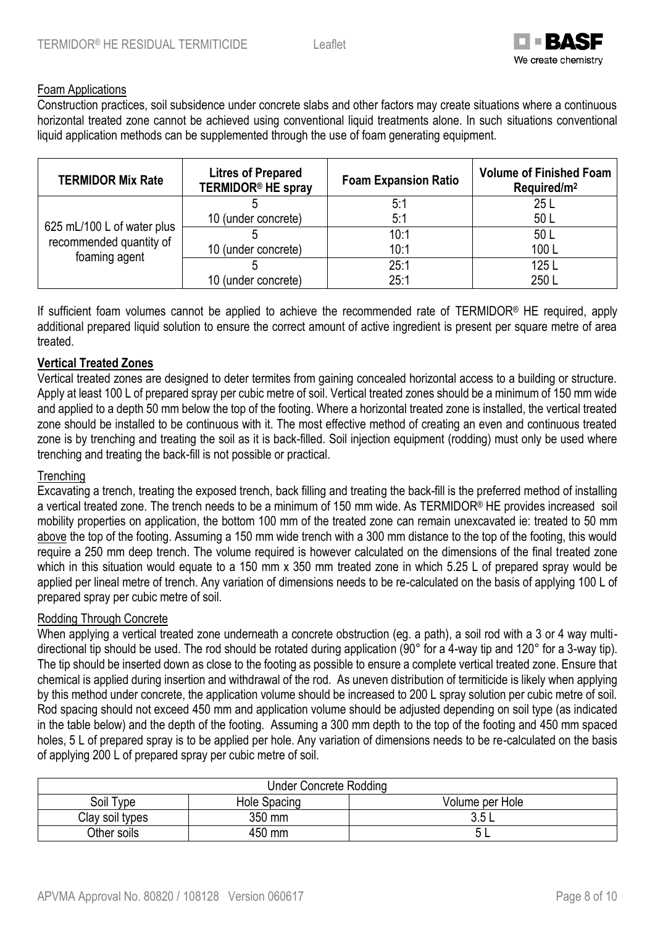

#### Foam Applications

Construction practices, soil subsidence under concrete slabs and other factors may create situations where a continuous horizontal treated zone cannot be achieved using conventional liquid treatments alone. In such situations conventional liquid application methods can be supplemented through the use of foam generating equipment.

| <b>TERMIDOR Mix Rate</b>                                               | <b>Litres of Prepared</b><br><b>TERMIDOR® HE spray</b> | <b>Foam Expansion Ratio</b> | <b>Volume of Finished Foam</b><br>Required/m <sup>2</sup> |
|------------------------------------------------------------------------|--------------------------------------------------------|-----------------------------|-----------------------------------------------------------|
| 625 mL/100 L of water plus<br>recommended quantity of<br>foaming agent |                                                        | 5:1                         | 25L                                                       |
|                                                                        | 10 (under concrete)                                    | 5:1                         | 50 L                                                      |
|                                                                        |                                                        | 10:1                        | 50L                                                       |
|                                                                        | 10 (under concrete)                                    | 10:1                        | 100L                                                      |
|                                                                        |                                                        | 25:1                        | 125L                                                      |
|                                                                        | 10 (under concrete)                                    | 25:1                        | 250L                                                      |

If sufficient foam volumes cannot be applied to achieve the recommended rate of TERMIDOR® HE required, apply additional prepared liquid solution to ensure the correct amount of active ingredient is present per square metre of area treated.

#### **Vertical Treated Zones**

Vertical treated zones are designed to deter termites from gaining concealed horizontal access to a building or structure. Apply at least 100 L of prepared spray per cubic metre of soil. Vertical treated zones should be a minimum of 150 mm wide and applied to a depth 50 mm below the top of the footing. Where a horizontal treated zone is installed, the vertical treated zone should be installed to be continuous with it. The most effective method of creating an even and continuous treated zone is by trenching and treating the soil as it is back-filled. Soil injection equipment (rodding) must only be used where trenching and treating the back-fill is not possible or practical.

#### **Trenching**

Excavating a trench, treating the exposed trench, back filling and treating the back-fill is the preferred method of installing a vertical treated zone. The trench needs to be a minimum of 150 mm wide. As TERMIDOR® HE provides increased soil mobility properties on application, the bottom 100 mm of the treated zone can remain unexcavated ie: treated to 50 mm above the top of the footing. Assuming a 150 mm wide trench with a 300 mm distance to the top of the footing, this would require a 250 mm deep trench. The volume required is however calculated on the dimensions of the final treated zone which in this situation would equate to a 150 mm x 350 mm treated zone in which 5.25 L of prepared spray would be applied per lineal metre of trench. Any variation of dimensions needs to be re-calculated on the basis of applying 100 L of prepared spray per cubic metre of soil.

#### Rodding Through Concrete

When applying a vertical treated zone underneath a concrete obstruction (eg. a path), a soil rod with a 3 or 4 way multidirectional tip should be used. The rod should be rotated during application (90° for a 4-way tip and 120° for a 3-way tip). The tip should be inserted down as close to the footing as possible to ensure a complete vertical treated zone. Ensure that chemical is applied during insertion and withdrawal of the rod. As uneven distribution of termiticide is likely when applying by this method under concrete, the application volume should be increased to 200 L spray solution per cubic metre of soil. Rod spacing should not exceed 450 mm and application volume should be adjusted depending on soil type (as indicated in the table below) and the depth of the footing. Assuming a 300 mm depth to the top of the footing and 450 mm spaced holes, 5 L of prepared spray is to be applied per hole. Any variation of dimensions needs to be re-calculated on the basis of applying 200 L of prepared spray per cubic metre of soil.

| <b>Under Concrete Rodding</b> |                                 |              |  |  |
|-------------------------------|---------------------------------|--------------|--|--|
| Soil Type                     | Volume per Hole<br>Hole Spacing |              |  |  |
| Clay soil types               | 350 mm                          | ? ド<br>ບ.ບ ∟ |  |  |
| Other soils                   | 450 mm                          | ີ            |  |  |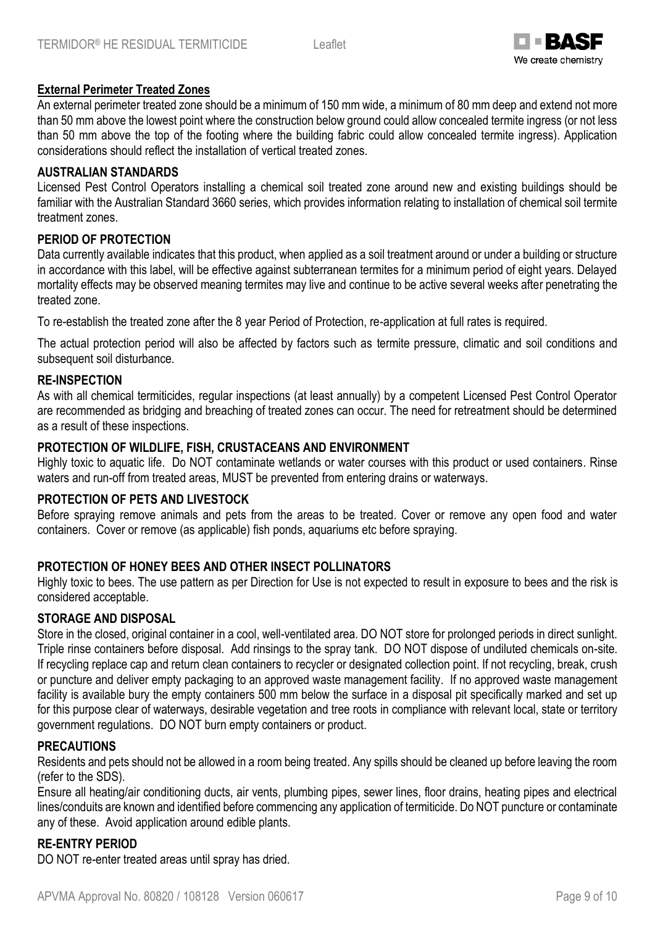

### **External Perimeter Treated Zones**

An external perimeter treated zone should be a minimum of 150 mm wide, a minimum of 80 mm deep and extend not more than 50 mm above the lowest point where the construction below ground could allow concealed termite ingress (or not less than 50 mm above the top of the footing where the building fabric could allow concealed termite ingress). Application considerations should reflect the installation of vertical treated zones.

#### **AUSTRALIAN STANDARDS**

Licensed Pest Control Operators installing a chemical soil treated zone around new and existing buildings should be familiar with the Australian Standard 3660 series, which provides information relating to installation of chemical soil termite treatment zones.

#### **PERIOD OF PROTECTION**

Data currently available indicates that this product, when applied as a soil treatment around or under a building or structure in accordance with this label, will be effective against subterranean termites for a minimum period of eight years. Delayed mortality effects may be observed meaning termites may live and continue to be active several weeks after penetrating the treated zone.

To re-establish the treated zone after the 8 year Period of Protection, re-application at full rates is required.

The actual protection period will also be affected by factors such as termite pressure, climatic and soil conditions and subsequent soil disturbance.

#### **RE-INSPECTION**

As with all chemical termiticides, regular inspections (at least annually) by a competent Licensed Pest Control Operator are recommended as bridging and breaching of treated zones can occur. The need for retreatment should be determined as a result of these inspections.

#### **PROTECTION OF WILDLIFE, FISH, CRUSTACEANS AND ENVIRONMENT**

Highly toxic to aquatic life. Do NOT contaminate wetlands or water courses with this product or used containers. Rinse waters and run-off from treated areas, MUST be prevented from entering drains or waterways.

#### **PROTECTION OF PETS AND LIVESTOCK**

Before spraying remove animals and pets from the areas to be treated. Cover or remove any open food and water containers. Cover or remove (as applicable) fish ponds, aquariums etc before spraying.

#### **PROTECTION OF HONEY BEES AND OTHER INSECT POLLINATORS**

Highly toxic to bees. The use pattern as per Direction for Use is not expected to result in exposure to bees and the risk is considered acceptable.

#### **STORAGE AND DISPOSAL**

Store in the closed, original container in a cool, well-ventilated area. DO NOT store for prolonged periods in direct sunlight. Triple rinse containers before disposal. Add rinsings to the spray tank. DO NOT dispose of undiluted chemicals on-site. If recycling replace cap and return clean containers to recycler or designated collection point. If not recycling, break, crush or puncture and deliver empty packaging to an approved waste management facility. If no approved waste management facility is available bury the empty containers 500 mm below the surface in a disposal pit specifically marked and set up for this purpose clear of waterways, desirable vegetation and tree roots in compliance with relevant local, state or territory government regulations. DO NOT burn empty containers or product.

#### **PRECAUTIONS**

Residents and pets should not be allowed in a room being treated. Any spills should be cleaned up before leaving the room (refer to the SDS).

Ensure all heating/air conditioning ducts, air vents, plumbing pipes, sewer lines, floor drains, heating pipes and electrical lines/conduits are known and identified before commencing any application of termiticide. Do NOT puncture or contaminate any of these. Avoid application around edible plants.

#### **RE-ENTRY PERIOD**

DO NOT re-enter treated areas until spray has dried.